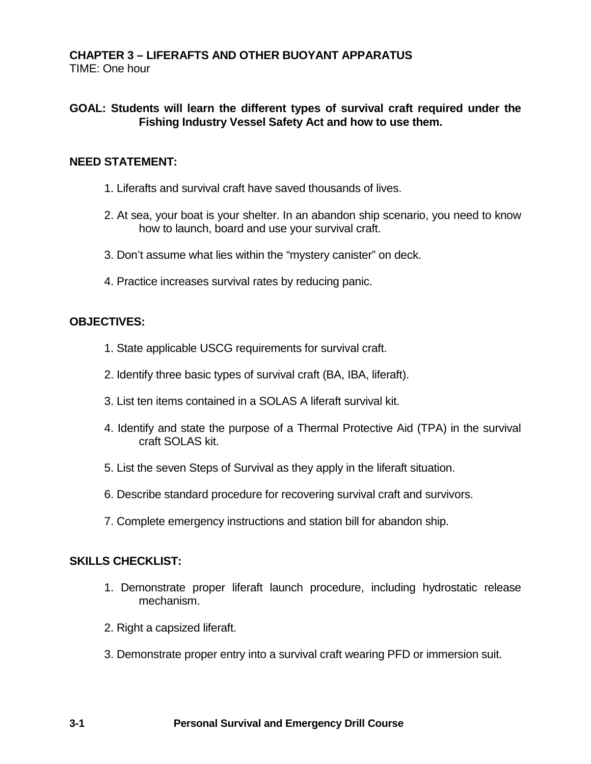### **CHAPTER 3 – LIFERAFTS AND OTHER BUOYANT APPARATUS** TIME: One hour

## **GOAL: Students will learn the different types of survival craft required under the Fishing Industry Vessel Safety Act and how to use them.**

## **NEED STATEMENT:**

- 1. Liferafts and survival craft have saved thousands of lives.
- 2. At sea, your boat is your shelter. In an abandon ship scenario, you need to know how to launch, board and use your survival craft.
- 3. Don't assume what lies within the "mystery canister" on deck.
- 4. Practice increases survival rates by reducing panic.

#### **OBJECTIVES:**

- 1. State applicable USCG requirements for survival craft.
- 2. Identify three basic types of survival craft (BA, IBA, liferaft).
- 3. List ten items contained in a SOLAS A liferaft survival kit.
- 4. Identify and state the purpose of a Thermal Protective Aid (TPA) in the survival craft SOLAS kit.
- 5. List the seven Steps of Survival as they apply in the liferaft situation.
- 6. Describe standard procedure for recovering survival craft and survivors.
- 7. Complete emergency instructions and station bill for abandon ship.

#### **SKILLS CHECKLIST:**

- 1. Demonstrate proper liferaft launch procedure, including hydrostatic release mechanism.
- 2. Right a capsized liferaft.
- 3. Demonstrate proper entry into a survival craft wearing PFD or immersion suit.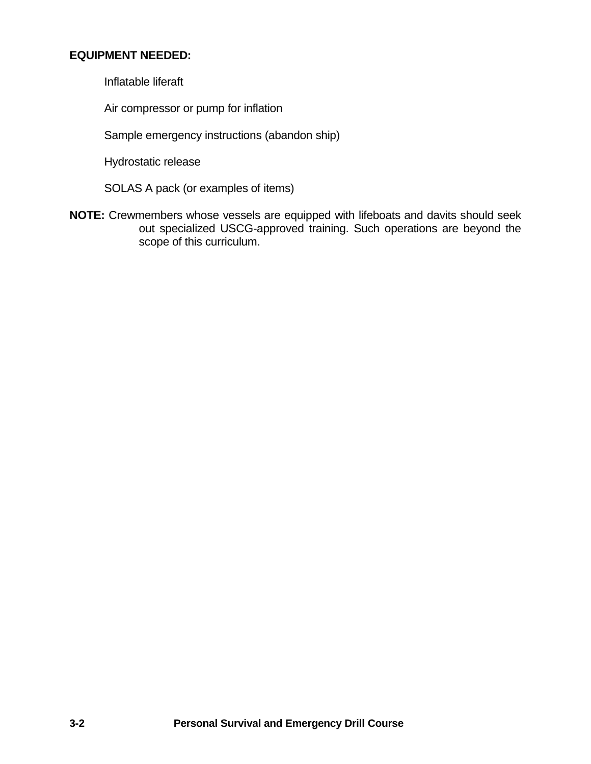# **EQUIPMENT NEEDED:**

Inflatable liferaft

Air compressor or pump for inflation

Sample emergency instructions (abandon ship)

Hydrostatic release

SOLAS A pack (or examples of items)

**NOTE:** Crewmembers whose vessels are equipped with lifeboats and davits should seek out specialized USCG-approved training. Such operations are beyond the scope of this curriculum.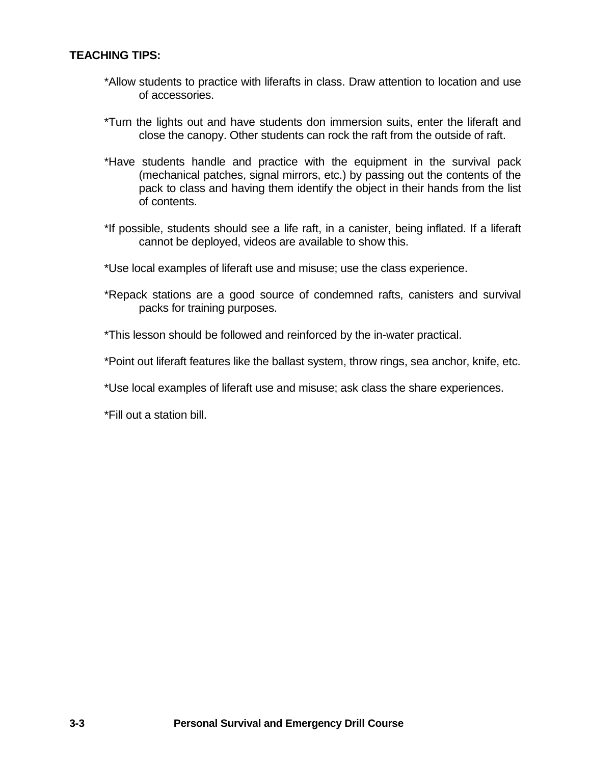## **TEACHING TIPS:**

- \*Allow students to practice with liferafts in class. Draw attention to location and use of accessories.
- \*Turn the lights out and have students don immersion suits, enter the liferaft and close the canopy. Other students can rock the raft from the outside of raft.
- \*Have students handle and practice with the equipment in the survival pack (mechanical patches, signal mirrors, etc.) by passing out the contents of the pack to class and having them identify the object in their hands from the list of contents.
- \*If possible, students should see a life raft, in a canister, being inflated. If a liferaft cannot be deployed, videos are available to show this.
- \*Use local examples of liferaft use and misuse; use the class experience.
- \*Repack stations are a good source of condemned rafts, canisters and survival packs for training purposes.
- \*This lesson should be followed and reinforced by the in-water practical.
- \*Point out liferaft features like the ballast system, throw rings, sea anchor, knife, etc.
- \*Use local examples of liferaft use and misuse; ask class the share experiences.

\*Fill out a station bill.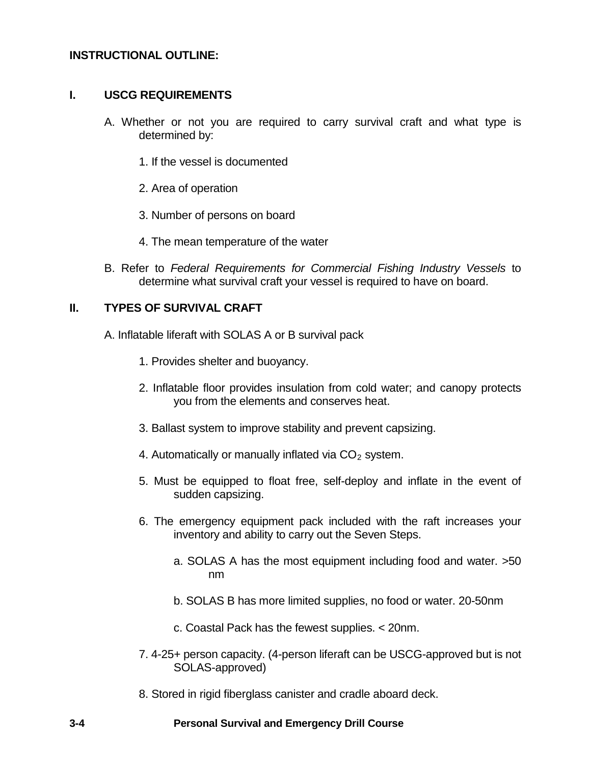## **INSTRUCTIONAL OUTLINE:**

#### **I. USCG REQUIREMENTS**

- A. Whether or not you are required to carry survival craft and what type is determined by:
	- 1. If the vessel is documented
	- 2. Area of operation
	- 3. Number of persons on board
	- 4. The mean temperature of the water
- B. Refer to *Federal Requirements for Commercial Fishing Industry Vessels* to determine what survival craft your vessel is required to have on board.

## **II. TYPES OF SURVIVAL CRAFT**

A. Inflatable liferaft with SOLAS A or B survival pack

- 1. Provides shelter and buoyancy.
- 2. Inflatable floor provides insulation from cold water; and canopy protects you from the elements and conserves heat.
- 3. Ballast system to improve stability and prevent capsizing.
- 4. Automatically or manually inflated via  $CO<sub>2</sub>$  system.
- 5. Must be equipped to float free, self-deploy and inflate in the event of sudden capsizing.
- 6. The emergency equipment pack included with the raft increases your inventory and ability to carry out the Seven Steps.
	- a. SOLAS A has the most equipment including food and water. >50 nm
	- b. SOLAS B has more limited supplies, no food or water. 20-50nm
	- c. Coastal Pack has the fewest supplies. < 20nm.
- 7. 4-25+ person capacity. (4-person liferaft can be USCG-approved but is not SOLAS-approved)
- 8. Stored in rigid fiberglass canister and cradle aboard deck.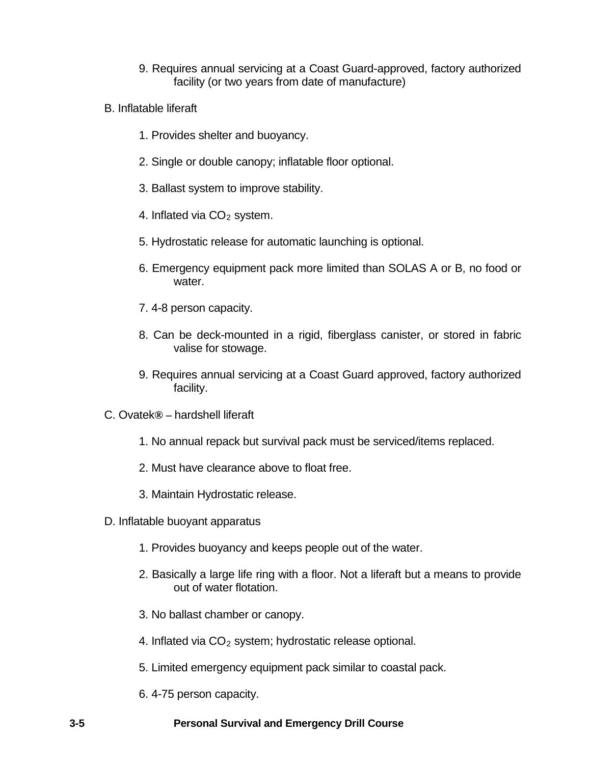- 9. Requires annual servicing at a Coast Guard-approved, factory authorized facility (or two years from date of manufacture)
- B. Inflatable liferaft
	- 1. Provides shelter and buoyancy.
	- 2. Single or double canopy; inflatable floor optional.
	- 3. Ballast system to improve stability.
	- 4. Inflated via  $CO<sub>2</sub>$  system.
	- 5. Hydrostatic release for automatic launching is optional.
	- 6. Emergency equipment pack more limited than SOLAS A or B, no food or water.
	- 7. 4-8 person capacity.
	- 8. Can be deck-mounted in a rigid, fiberglass canister, or stored in fabric valise for stowage.
	- 9. Requires annual servicing at a Coast Guard approved, factory authorized facility.
- C. Ovatek**® –** hardshell liferaft
	- 1. No annual repack but survival pack must be serviced/items replaced.
	- 2. Must have clearance above to float free.
	- 3. Maintain Hydrostatic release.
- D. Inflatable buoyant apparatus
	- 1. Provides buoyancy and keeps people out of the water.
	- 2. Basically a large life ring with a floor. Not a liferaft but a means to provide out of water flotation.
	- 3. No ballast chamber or canopy.
	- 4. Inflated via  $CO<sub>2</sub>$  system; hydrostatic release optional.
	- 5. Limited emergency equipment pack similar to coastal pack.
	- 6. 4-75 person capacity.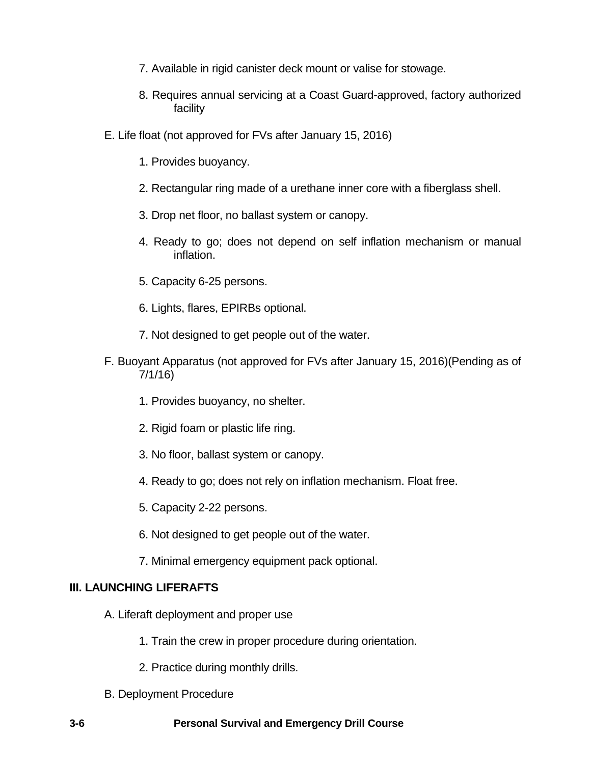- 7. Available in rigid canister deck mount or valise for stowage.
- 8. Requires annual servicing at a Coast Guard-approved, factory authorized facility
- E. Life float (not approved for FVs after January 15, 2016)
	- 1. Provides buoyancy.
	- 2. Rectangular ring made of a urethane inner core with a fiberglass shell.
	- 3. Drop net floor, no ballast system or canopy.
	- 4. Ready to go; does not depend on self inflation mechanism or manual inflation.
	- 5. Capacity 6-25 persons.
	- 6. Lights, flares, EPIRBs optional.
	- 7. Not designed to get people out of the water.
- F. Buoyant Apparatus (not approved for FVs after January 15, 2016)(Pending as of 7/1/16)
	- 1. Provides buoyancy, no shelter.
	- 2. Rigid foam or plastic life ring.
	- 3. No floor, ballast system or canopy.
	- 4. Ready to go; does not rely on inflation mechanism. Float free.
	- 5. Capacity 2-22 persons.
	- 6. Not designed to get people out of the water.
	- 7. Minimal emergency equipment pack optional.

# **III. LAUNCHING LIFERAFTS**

- A. Liferaft deployment and proper use
	- 1. Train the crew in proper procedure during orientation.
	- 2. Practice during monthly drills.
- B. Deployment Procedure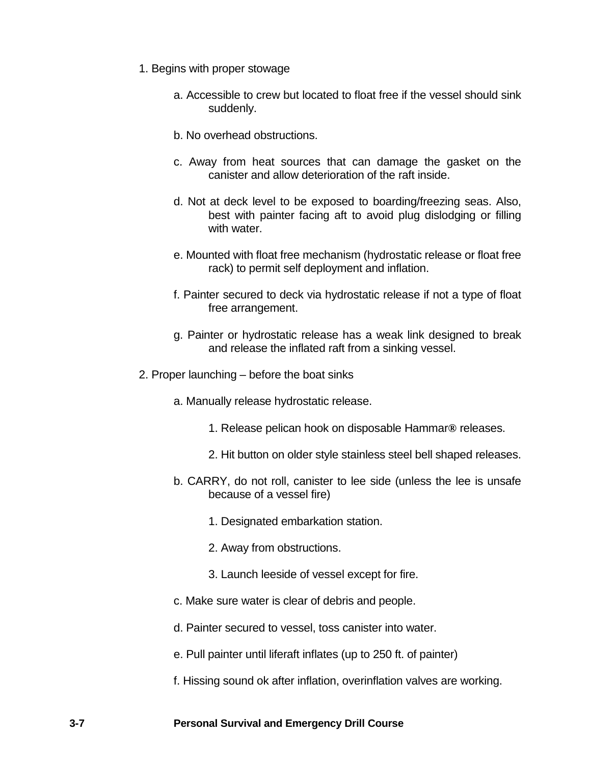- 1. Begins with proper stowage
	- a. Accessible to crew but located to float free if the vessel should sink suddenly.
	- b. No overhead obstructions.
	- c. Away from heat sources that can damage the gasket on the canister and allow deterioration of the raft inside.
	- d. Not at deck level to be exposed to boarding/freezing seas. Also, best with painter facing aft to avoid plug dislodging or filling with water.
	- e. Mounted with float free mechanism (hydrostatic release or float free rack) to permit self deployment and inflation.
	- f. Painter secured to deck via hydrostatic release if not a type of float free arrangement.
	- g. Painter or hydrostatic release has a weak link designed to break and release the inflated raft from a sinking vessel.
- 2. Proper launching before the boat sinks
	- a. Manually release hydrostatic release.
		- 1. Release pelican hook on disposable Hammar**®** releases.
		- 2. Hit button on older style stainless steel bell shaped releases.
	- b. CARRY, do not roll, canister to lee side (unless the lee is unsafe because of a vessel fire)
		- 1. Designated embarkation station.
		- 2. Away from obstructions.
		- 3. Launch leeside of vessel except for fire.
	- c. Make sure water is clear of debris and people.
	- d. Painter secured to vessel, toss canister into water.
	- e. Pull painter until liferaft inflates (up to 250 ft. of painter)
	- f. Hissing sound ok after inflation, overinflation valves are working.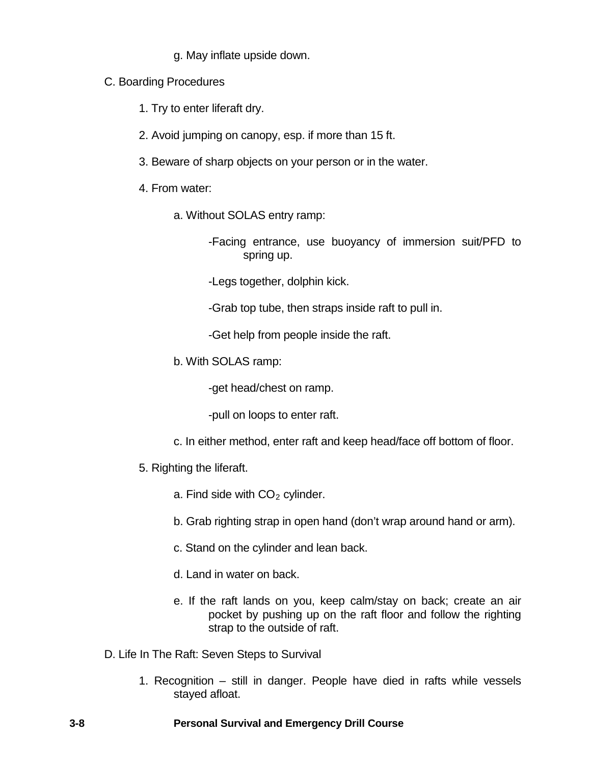- g. May inflate upside down.
- C. Boarding Procedures
	- 1. Try to enter liferaft dry.
	- 2. Avoid jumping on canopy, esp. if more than 15 ft.
	- 3. Beware of sharp objects on your person or in the water.
	- 4. From water:
		- a. Without SOLAS entry ramp:
			- -Facing entrance, use buoyancy of immersion suit/PFD to spring up.
			- -Legs together, dolphin kick.
			- -Grab top tube, then straps inside raft to pull in.

-Get help from people inside the raft.

b. With SOLAS ramp:

-get head/chest on ramp.

-pull on loops to enter raft.

- c. In either method, enter raft and keep head/face off bottom of floor.
- 5. Righting the liferaft.
	- a. Find side with  $CO<sub>2</sub>$  cylinder.
	- b. Grab righting strap in open hand (don't wrap around hand or arm).
	- c. Stand on the cylinder and lean back.
	- d. Land in water on back.
	- e. If the raft lands on you, keep calm/stay on back; create an air pocket by pushing up on the raft floor and follow the righting strap to the outside of raft.
- D. Life In The Raft: Seven Steps to Survival
	- 1. Recognition still in danger. People have died in rafts while vessels stayed afloat.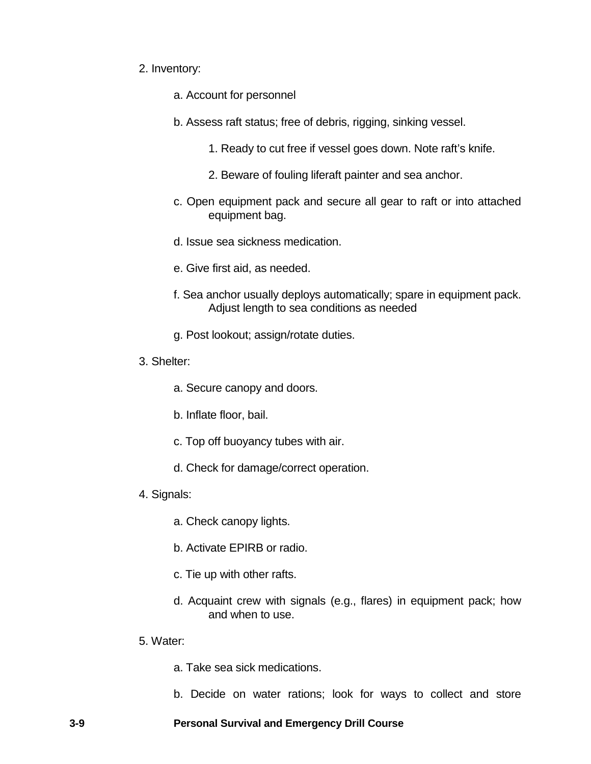#### 2. Inventory:

- a. Account for personnel
- b. Assess raft status; free of debris, rigging, sinking vessel.
	- 1. Ready to cut free if vessel goes down. Note raft's knife.
	- 2. Beware of fouling liferaft painter and sea anchor.
- c. Open equipment pack and secure all gear to raft or into attached equipment bag.
- d. Issue sea sickness medication.
- e. Give first aid, as needed.
- f. Sea anchor usually deploys automatically; spare in equipment pack. Adjust length to sea conditions as needed
- g. Post lookout; assign/rotate duties.
- 3. Shelter:
	- a. Secure canopy and doors.
	- b. Inflate floor, bail.
	- c. Top off buoyancy tubes with air.
	- d. Check for damage/correct operation.
- 4. Signals:
	- a. Check canopy lights.
	- b. Activate EPIRB or radio.
	- c. Tie up with other rafts.
	- d. Acquaint crew with signals (e.g., flares) in equipment pack; how and when to use.
- 5. Water:
	- a. Take sea sick medications.
	- b. Decide on water rations; look for ways to collect and store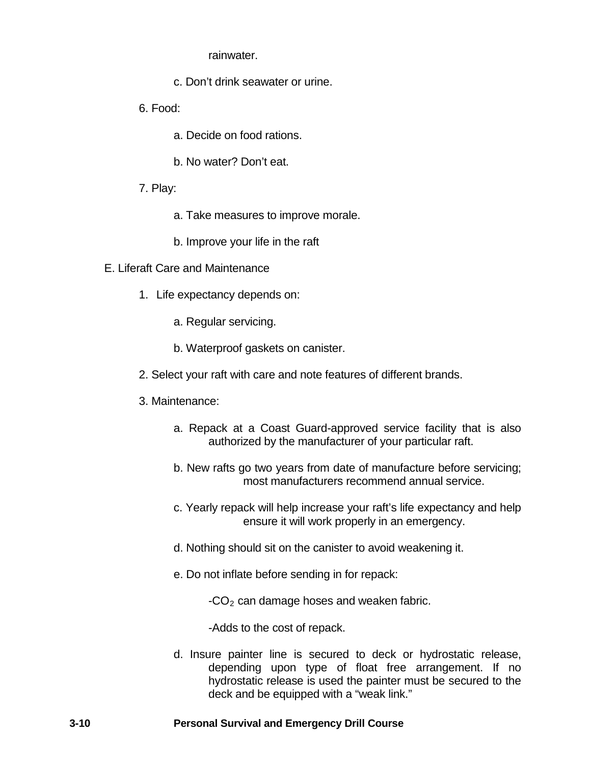rainwater.

- c. Don't drink seawater or urine.
- 6. Food:
	- a. Decide on food rations.
	- b. No water? Don't eat.
- 7. Play:
	- a. Take measures to improve morale.
	- b. Improve your life in the raft
- E. Liferaft Care and Maintenance
	- 1. Life expectancy depends on:
		- a. Regular servicing.
		- b. Waterproof gaskets on canister.
	- 2. Select your raft with care and note features of different brands.
	- 3. Maintenance:
		- a. Repack at a Coast Guard-approved service facility that is also authorized by the manufacturer of your particular raft.
		- b. New rafts go two years from date of manufacture before servicing; most manufacturers recommend annual service.
		- c. Yearly repack will help increase your raft's life expectancy and help ensure it will work properly in an emergency.
		- d. Nothing should sit on the canister to avoid weakening it.
		- e. Do not inflate before sending in for repack:

 $-CO<sub>2</sub>$  can damage hoses and weaken fabric.

-Adds to the cost of repack.

d. Insure painter line is secured to deck or hydrostatic release, depending upon type of float free arrangement. If no hydrostatic release is used the painter must be secured to the deck and be equipped with a "weak link."

## **3-10 Personal Survival and Emergency Drill Course**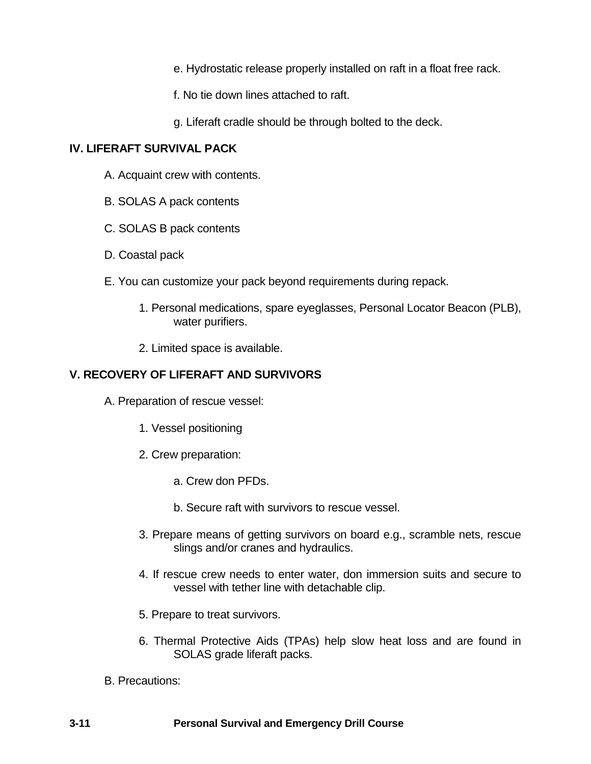- e. Hydrostatic release properly installed on raft in a float free rack.
- f. No tie down lines attached to raft.
- g. Liferaft cradle should be through bolted to the deck.

# **IV. LIFERAFT SURVIVAL PACK**

- A. Acquaint crew with contents.
- B. SOLAS A pack contents
- C. SOLAS B pack contents
- D. Coastal pack
- E. You can customize your pack beyond requirements during repack.
	- 1. Personal medications, spare eyeglasses, Personal Locator Beacon (PLB), water purifiers.
	- 2. Limited space is available.

# **V. RECOVERY OF LIFERAFT AND SURVIVORS**

- A. Preparation of rescue vessel:
	- 1. Vessel positioning
	- 2. Crew preparation:
		- a. Crew don PFDs.
		- b. Secure raft with survivors to rescue vessel.
	- 3. Prepare means of getting survivors on board e.g., scramble nets, rescue slings and/or cranes and hydraulics.
	- 4. If rescue crew needs to enter water, don immersion suits and secure to vessel with tether line with detachable clip.
	- 5. Prepare to treat survivors.
	- 6. Thermal Protective Aids (TPAs) help slow heat loss and are found in SOLAS grade liferaft packs.
- B. Precautions: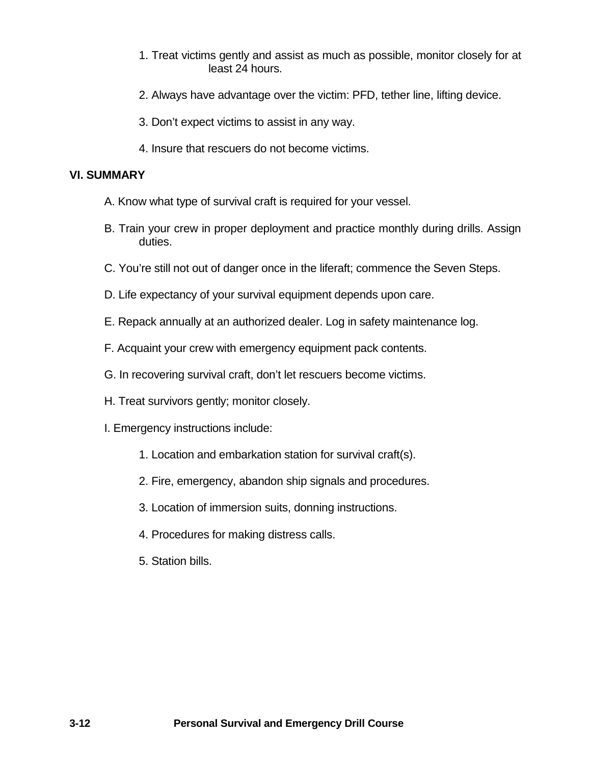- 1. Treat victims gently and assist as much as possible, monitor closely for at least 24 hours.
- 2. Always have advantage over the victim: PFD, tether line, lifting device.
- 3. Don't expect victims to assist in any way.
- 4. Insure that rescuers do not become victims.

# **VI. SUMMARY**

- A. Know what type of survival craft is required for your vessel.
- B. Train your crew in proper deployment and practice monthly during drills. Assign duties.
- C. You're still not out of danger once in the liferaft; commence the Seven Steps.
- D. Life expectancy of your survival equipment depends upon care.
- E. Repack annually at an authorized dealer. Log in safety maintenance log.
- F. Acquaint your crew with emergency equipment pack contents.
- G. In recovering survival craft, don't let rescuers become victims.
- H. Treat survivors gently; monitor closely.
- I. Emergency instructions include:
	- 1. Location and embarkation station for survival craft(s).
	- 2. Fire, emergency, abandon ship signals and procedures.
	- 3. Location of immersion suits, donning instructions.
	- 4. Procedures for making distress calls.
	- 5. Station bills.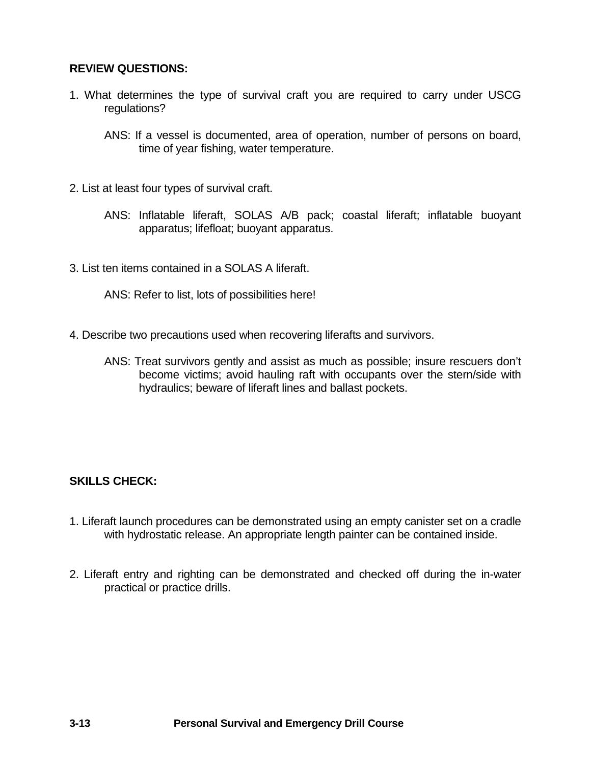## **REVIEW QUESTIONS:**

- 1. What determines the type of survival craft you are required to carry under USCG regulations?
	- ANS: If a vessel is documented, area of operation, number of persons on board, time of year fishing, water temperature.
- 2. List at least four types of survival craft.
	- ANS: Inflatable liferaft, SOLAS A/B pack; coastal liferaft; inflatable buoyant apparatus; lifefloat; buoyant apparatus.
- 3. List ten items contained in a SOLAS A liferaft.

ANS: Refer to list, lots of possibilities here!

- 4. Describe two precautions used when recovering liferafts and survivors.
	- ANS: Treat survivors gently and assist as much as possible; insure rescuers don't become victims; avoid hauling raft with occupants over the stern/side with hydraulics; beware of liferaft lines and ballast pockets.

# **SKILLS CHECK:**

- 1. Liferaft launch procedures can be demonstrated using an empty canister set on a cradle with hydrostatic release. An appropriate length painter can be contained inside.
- 2. Liferaft entry and righting can be demonstrated and checked off during the in-water practical or practice drills.